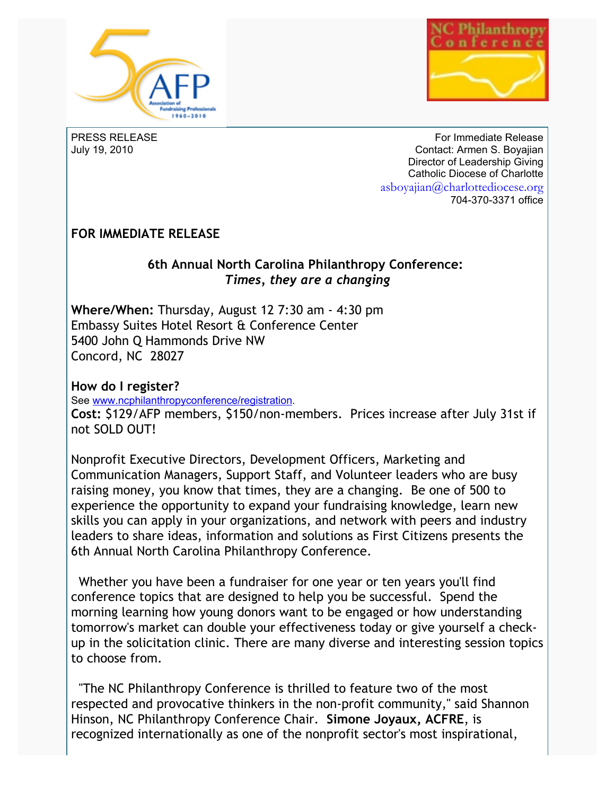



PRESS RELEASE July 19, 2010

For Immediate Release Contact: Armen S. Boyajian Director of Leadership Giving Catholic Diocese of Charlotte asboyajian@charlottediocese.org 704-370-3371 office

## **FOR IMMEDIATE RELEASE**

## **6th Annual North Carolina Philanthropy Conference:**  *Times, they are a changing*

**Where/When:** Thursday, August 12 7:30 am - 4:30 pm Embassy Suites Hotel Resort & Conference Center 5400 John Q Hammonds Drive NW Concord, NC 28027

**How do I register?** See [www.ncphilanthropyconference/registration.](http://www.ncphilanthropyconference/registration) **Cost:** \$129/AFP members, \$150/non-members. Prices increase after July 31st if not SOLD OUT!

Nonprofit Executive Directors, Development Officers, Marketing and Communication Managers, Support Staff, and Volunteer leaders who are busy raising money, you know that times, they are a changing. Be one of 500 to experience the opportunity to expand your fundraising knowledge, learn new skills you can apply in your organizations, and network with peers and industry leaders to share ideas, information and solutions as First Citizens presents the 6th Annual North Carolina Philanthropy Conference.

Whether you have been a fundraiser for one year or ten years you'll find conference topics that are designed to help you be successful. Spend the morning learning how young donors want to be engaged or how understanding tomorrow's market can double your effectiveness today or give yourself a checkup in the solicitation clinic. There are many diverse and interesting session topics to choose from.

"The NC Philanthropy Conference is thrilled to feature two of the most respected and provocative thinkers in the non-profit community," said Shannon Hinson, NC Philanthropy Conference Chair. **Simone Joyaux, ACFRE**, is recognized internationally as one of the nonprofit sector's most inspirational,